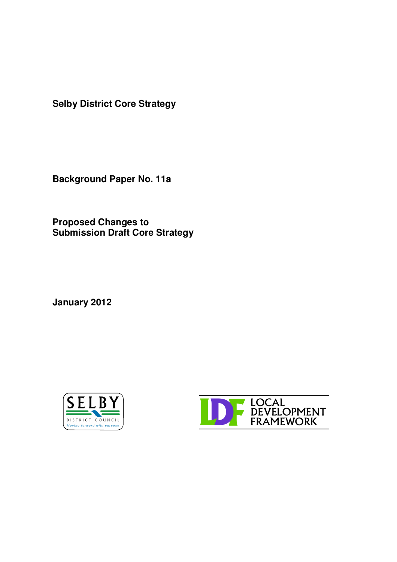**Selby District Core Strategy**

**Background Paper No. 11a**

**Proposed Changes to Submission Draft Core Strategy**

**January 2012**



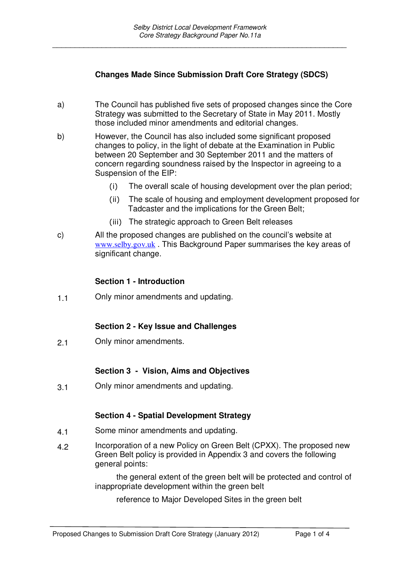## **Changes Made Since Submission Draft Core Strategy (SDCS)**

- a) The Council has published five sets of proposed changes since the Core Strategy was submitted to the Secretary of State in May 2011. Mostly those included minor amendments and editorial changes.
- b) However, the Council has also included some significant proposed changes to policy, in the light of debate at the Examination in Public between 20 September and 30 September 2011 and the matters of concern regarding soundness raised by the Inspector in agreeing to a Suspension of the EIP:
	- $(i)$ The overall scale of housing development over the plan period;
	- ii) The scale of housing and employment development proposed for Tadcaster and the implications for the Green Belt;
	- (iii) The strategic approach to Green Belt releases
- c) All the proposed changes are published on the council's website at www.selby.gov.uk . This Background Paper summarises the key areas of significant change.

#### **Section 1 - Introduction**

1.1 Only minor amendments and updating.

#### **Section 2 - Key Issue and Challenges**

2.1 Only minor amendments.

#### **Section 3 - Vision, Aims and Objectives**

3.1 Only minor amendments and updating.

#### **Section 4 - Spatial Development Strategy**

- 4.1 Some minor amendments and updating.
- 4.2 Incorporation of a new Policy on Green Belt (CPXX). The proposed new Green Belt policy is provided in Appendix 3 and covers the following general points:

the general extent of the green belt will be protected and control of inappropriate development within the green belt

reference to Major Developed Sites in the green belt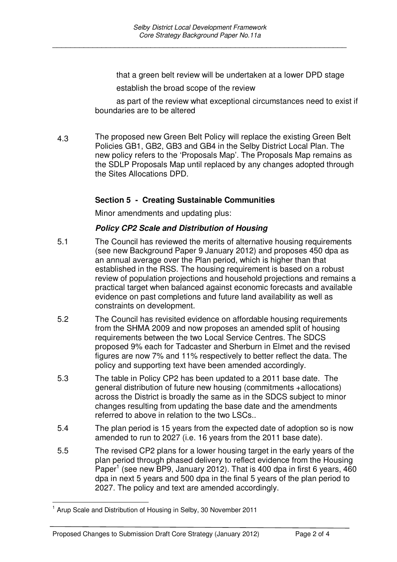that a green belt review will be undertaken at a lower DPD stage

establish the broad scope of the review

as part of the review what exceptional circumstances need to exist if boundaries are to be altered

4.3 The proposed new Green Belt Policy will replace the existing Green Belt Policies GB1, GB2, GB3 and GB4 in the Selby District Local Plan. The new policy refers to the 'Proposals Map'. The Proposals Map remains as the SDLP Proposals Map until replaced by any changes adopted through the Sites Allocations DPD.

## **Section 5 - Creating Sustainable Communities**

Minor amendments and updating plus:

### *Policy CP2 Scale and Distribution of Housing*

- 5.1 The Council has reviewed the merits of alternative housing requirements (see new Background Paper 9 January 2012) and proposes 450 dpa as an annual average over the Plan period, which is higher than that established in the RSS. The housing requirement is based on a robust review of population projections and household projections and remains a practical target when balanced against economic forecasts and available evidence on past completions and future land availability as well as constraints on development.
- 5.2 The Council has revisited evidence on affordable housing requirements from the SHMA 2009 and now proposes an amended split of housing requirements between the two Local Service Centres. The SDCS proposed 9% each for Tadcaster and Sherburn in Elmet and the revised figures are now 7% and 11% respectively to better reflect the data. The policy and supporting text have been amended accordingly.
- 5.3 The table in Policy CP2 has been updated to a 2011 base date. The general distribution of future new housing (commitments +allocations) across the District is broadly the same as in the SDCS subject to minor changes resulting from updating the base date and the amendments referred to above in relation to the two LSCs..
- 5.4 The plan period is 15 years from the expected date of adoption so is now amended to run to 2027 (i.e. 16 years from the 2011 base date).
- 5.5 The revised CP2 plans for a lower housing target in the early years of the plan period through phased delivery to reflect evidence from the Housing Paper<sup>1</sup> (see new BP9, January 2012). That is 400 dpa in first 6 years, 460 dpa in next 5 years and 500 dpa in the final 5 years of the plan period to 2027. The policy and text are amended accordingly.

 $1$  Arup Scale and Distribution of Housing in Selby, 30 November 2011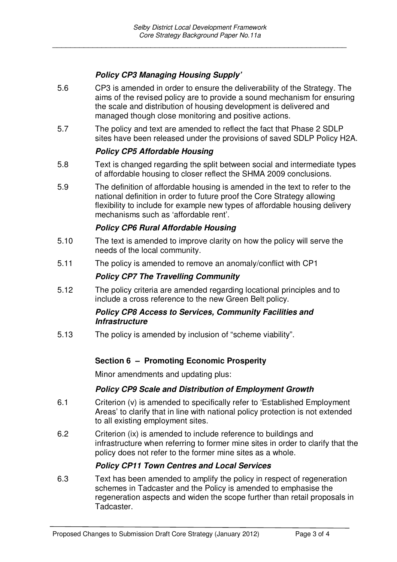# *Policy CP3 Managing Housing Supply'*

- 5.6 CP3 is amended in order to ensure the deliverability of the Strategy. The aims of the revised policy are to provide a sound mechanism for ensuring the scale and distribution of housing development is delivered and managed though close monitoring and positive actions.
- 5.7 The policy and text are amended to reflect the fact that Phase 2 SDLP sites have been released under the provisions of saved SDLP Policy H2A.

### *Policy CP5 Affordable Housing*

- 5.8 Text is changed regarding the split between social and intermediate types of affordable housing to closer reflect the SHMA 2009 conclusions.
- 5.9 The definition of affordable housing is amended in the text to refer to the national definition in order to future proof the Core Strategy allowing flexibility to include for example new types of affordable housing delivery mechanisms such as 'affordable rent'.

## *Policy CP6 Rural Affordable Housing*

- 5.10 The text is amended to improve clarity on how the policy will serve the needs of the local community.
- 5.11 The policy is amended to remove an anomaly/conflict with CP1

#### *Policy CP7 The Travelling Community*

5.12 The policy criteria are amended regarding locational principles and to include a cross reference to the new Green Belt policy.

#### *Policy CP8 Access to Services, Community Facilities and Infrastructure*

5.13 The policy is amended by inclusion of "scheme viability".

#### **Section 6 – Promoting Economic Prosperity**

Minor amendments and updating plus:

#### *Policy CP9 Scale and Distribution of Employment Growth*

- 6.1 Criterion (v) is amended to specifically refer to 'Established Employment Areas' to clarify that in line with national policy protection is not extended to all existing employment sites.
- 6.2 Criterion (ix) is amended to include reference to buildings and infrastructure when referring to former mine sites in order to clarify that the policy does not refer to the former mine sites as a whole.

#### *Policy CP11 Town Centres and Local Services*

6.3 Text has been amended to amplify the policy in respect of regeneration schemes in Tadcaster and the Policy is amended to emphasise the regeneration aspects and widen the scope further than retail proposals in Tadcaster.